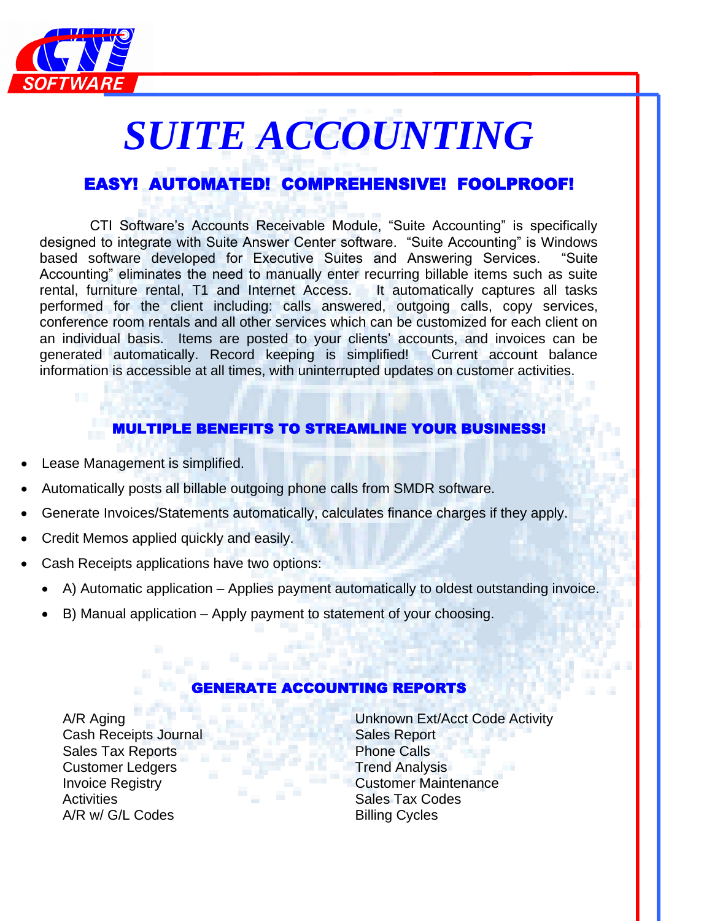

# *SUITE ACCOUNTING*

## EASY! AUTOMATED! COMPREHENSIVE! FOOLPROOF!

 CTI Software's Accounts Receivable Module, "Suite Accounting" is specifically designed to integrate with Suite Answer Center software. "Suite Accounting" is Windows based software developed for Executive Suites and Answering Services. "Suite Accounting" eliminates the need to manually enter recurring billable items such as suite rental, furniture rental, T1 and Internet Access. It automatically captures all tasks performed for the client including: calls answered, outgoing calls, copy services, conference room rentals and all other services which can be customized for each client on an individual basis. Items are posted to your clients' accounts, and invoices can be generated automatically. Record keeping is simplified! Current account balance information is accessible at all times, with uninterrupted updates on customer activities.

## MULTIPLE BENEFITS TO STREAMLINE YOUR BUSINESS!

- Lease Management is simplified.
- Automatically posts all billable outgoing phone calls from SMDR software.
- Generate Invoices/Statements automatically, calculates finance charges if they apply.
- Credit Memos applied quickly and easily.
- Cash Receipts applications have two options:
	- A) Automatic application Applies payment automatically to oldest outstanding invoice.
	- B) Manual application Apply payment to statement of your choosing.

## TE ACCOUNTING REPORTS

Cash Receipts Journal Sales Report Sales Tax Reports **Phone Calls Customer Ledgers Trend Analysis** Activities **Sales Tax Codes** Codes **Sales Tax Codes** A/R w/ G/L Codes Billing Cycles

A/R Aging Unknown Ext/Acct Code Activity **Invoice Registry Customer Maintenance**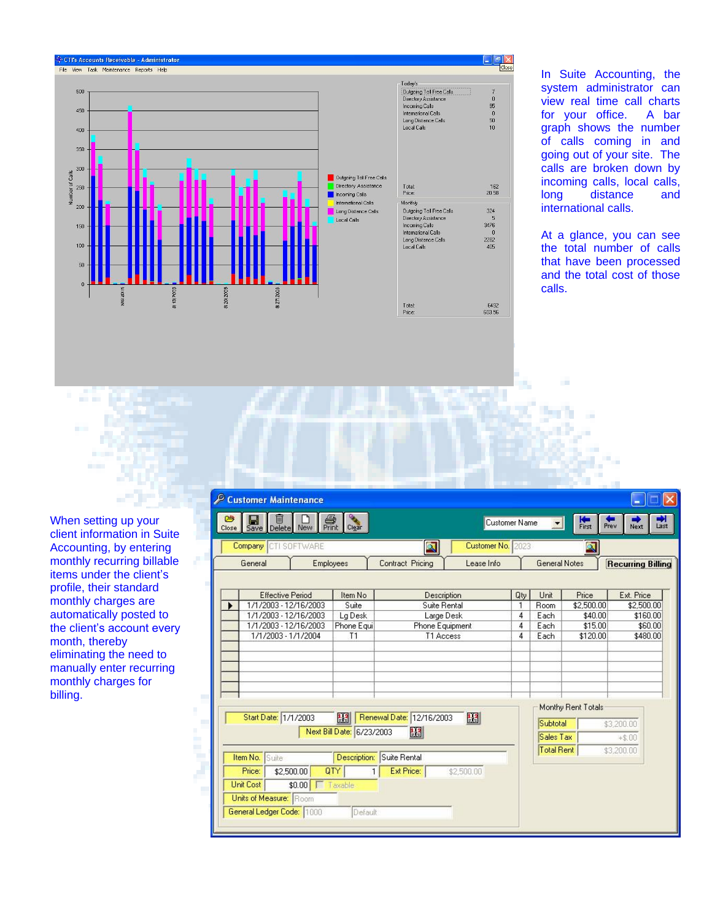

In Suite Accounting, the system administrator can view real time call charts<br>for your office. A bar for your office. graph shows the number of calls coming in and going out of your site. The calls are broken down by incoming calls, local calls, long distance and international calls.

At a glance, you can see the total number of calls that have been processed and the total cost of those calls.

٠

When setting up your client information in Suite Accounting, by entering monthly recurring billable items under the client 's profile, their standard monthly charges are automatically posted to the client's account every month, thereby eliminating the need to manually enter recurring monthly charges for billing.

| Customer Maintenance                                  |                           |                            |                   |                   |                      |                       |                          |
|-------------------------------------------------------|---------------------------|----------------------------|-------------------|-------------------|----------------------|-----------------------|--------------------------|
| 飍<br>₿<br>▥<br>ľ٦<br>Н<br>Delete New<br>Close<br>Save | Clear                     |                            | Customer Name     |                   | ᆌ                    | <b>Ke</b><br>First    | Prev<br>Last<br>Next     |
| <b>Company CTI SOFTWARE</b>                           |                           | $\mathbb{Q}$               | Customer No. 2023 |                   |                      | Q                     |                          |
| General<br><b>Employees</b>                           |                           | Contract Pricing           | Lease Info        |                   | <b>General Notes</b> |                       | <b>Recurring Billing</b> |
| <b>Effective Period</b>                               | Item No                   | Description                |                   | Qty.              | Unit                 | Price                 | Ext. Price               |
| 1/1/2003 - 12/16/2003<br>1/1/2003 - 12/16/2003        | Suite<br>Lg Desk          | Suite Rental<br>Large Desk |                   | $\mathbf{1}$<br>4 | <b>Room</b><br>Each  | \$2,500.00<br>\$40.00 | \$2,500.00<br>\$160.00   |
| 1/1/2003 - 12/16/2003                                 | Phone Equi                | Phone Equipment            |                   | 4                 | Each                 | \$15.00               | \$60.00                  |
| 1/1/2003 - 1/1/2004                                   | T1                        | T1 Access                  |                   | 4                 | Each                 | \$120.00              | \$480.00                 |
|                                                       |                           |                            |                   |                   |                      | Monthy Rent Totals    |                          |
| Start Date: 1/1/2003                                  | 圞                         | Renewal Date: 12/16/2003   | $\mathbb{E}$      |                   | Subtotal             |                       | \$3,200.00               |
|                                                       | Next Bill Date: 6/23/2003 | 醞                          |                   |                   | Sales Tax            |                       | $+ $.00$                 |
| Item No.<br>Suite                                     | Description:              | Suite Rental               |                   |                   | Total Rent           |                       | \$3,200.00               |
| \$2,500.00<br>QTY<br>Price:                           | 1                         | Ext Price:                 | \$2,500.00        |                   |                      |                       |                          |
| <b>Unit Cost</b><br>\$0.00<br><b>T</b> Taxable        |                           |                            |                   |                   |                      |                       |                          |
| Units of Measure: Room                                |                           |                            |                   |                   |                      |                       |                          |
| General Ledger Code: 1000                             | Default                   |                            |                   |                   |                      |                       |                          |
|                                                       |                           |                            |                   |                   |                      |                       |                          |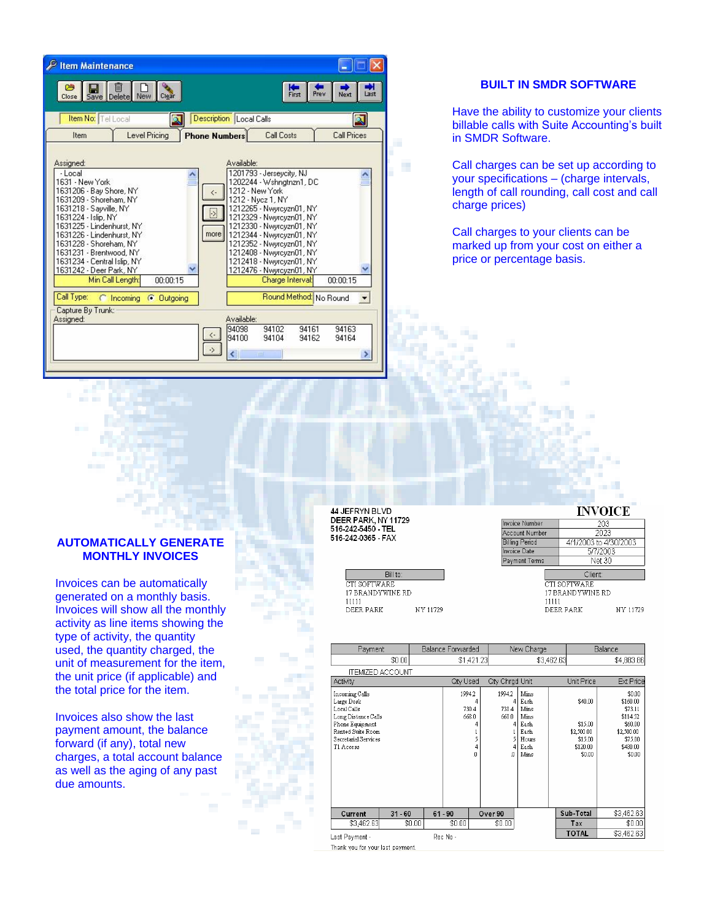| P Item Maintenance                                                                                                                                                                                                                                                                                                                                      |                                                                                                                                                                                                                                                                                                                                                                                                                               |
|---------------------------------------------------------------------------------------------------------------------------------------------------------------------------------------------------------------------------------------------------------------------------------------------------------------------------------------------------------|-------------------------------------------------------------------------------------------------------------------------------------------------------------------------------------------------------------------------------------------------------------------------------------------------------------------------------------------------------------------------------------------------------------------------------|
| 鬯<br>厕<br>Н<br>Save Delete New<br>Clear<br>Close                                                                                                                                                                                                                                                                                                        | Prev<br>Next<br>Last<br>First                                                                                                                                                                                                                                                                                                                                                                                                 |
| Item No: Tel Local<br>Q                                                                                                                                                                                                                                                                                                                                 | <b>Description</b> Local Calls<br>$\bullet$                                                                                                                                                                                                                                                                                                                                                                                   |
| Level Pricing<br>Item                                                                                                                                                                                                                                                                                                                                   | <b>Call Costs</b><br><b>Call Prices</b><br><b>Phone Numbers</b>                                                                                                                                                                                                                                                                                                                                                               |
| Assigned:<br>$-Local$<br>1631 - New York<br>1631206 - Bay Shore, NY<br>1631209 - Shoreham, NY<br>1631218 - Sayville, NY<br>1631224 - Islip, NY<br>1631225 - Lindenhurst, NY<br>1631226 - Lindenhurst, NY<br>1631228 - Shoreham, NY<br>1631231 - Brentwood, NY<br>1631234 - Central Islip, NY<br>1631242 - Deer Park, NY<br>Min Call Length:<br>00:00:15 | Available:<br>1201793 - Jerseycity, NJ<br>1202244 - Wshngtnzn1, DC<br>1212 - New York<br>$\left\langle \cdot \right\rangle$<br>1212 - Nvcz 1, NY<br>1212265 - Nwyrcyzn01, NY<br>S<br>1212329 - Nwyrcyzn01, NY<br>1212330 - Nwwrcyzn01, NY<br>more<br>1212344 - Nwwrcyzn01, NY<br>1212352 - Nwyrcyzn01, NY<br>1212408 - Nwyrcyzn01, NY<br>1212418 - Nwyrcyzn01, NY<br>1212476 - Nwyrcyzn01, NY<br>00:00:15<br>Charge Interval: |
| Call Type:<br>Incomina<br>C Outgoing<br>Capture By Trunk:                                                                                                                                                                                                                                                                                               | Round Method: No Round                                                                                                                                                                                                                                                                                                                                                                                                        |
| Assigned:                                                                                                                                                                                                                                                                                                                                               | Available:                                                                                                                                                                                                                                                                                                                                                                                                                    |
|                                                                                                                                                                                                                                                                                                                                                         | 94102<br>94161<br>94163<br>94098<br>$\langle \cdot$<br>94100<br>94162<br>94164<br>94104                                                                                                                                                                                                                                                                                                                                       |
|                                                                                                                                                                                                                                                                                                                                                         | -><br><b>TITL</b>                                                                                                                                                                                                                                                                                                                                                                                                             |

#### **BUILT IN SMDR SOFTWARE**

Have the ability to customize your clients billable calls with Suite Accounting's built in SMDR Software.

Call charges can be set up according to your specifications – (charge intervals, length of call rounding, call cost and call charge prices)

Call charges to your clients can be marked up from your cost on either a price or percentage basis.

#### **AUTOMATICALLY GENERATE MONTHLY INVOICES**

Invoices can be automatically generated on a monthly basis. Invoices will show all the monthly activity as line items showing the type of activity, the quantity used, the quantity charged, the unit of measurement for the item, the unit price (if applicable) and the total price for the item.

Invoices also show the last payment amount, the balance forward (if any), total new charges, a total account balance as well as the aging of any past due amounts.

44 JEFRYN BLVD **DEER PARK, NY 11729**<br>516-242-5450 - TEL 516-242-0365 - FAX

> Bill to: CTI SOFTWARE 17 BRANDYWINE RD  $11111$ DEER PARK NY 11729

٠

#### **INVOICE**

| <b>Invoice Number</b> | 203                   |          |  |  |  |  |  |
|-----------------------|-----------------------|----------|--|--|--|--|--|
| Account Number        | 2023                  |          |  |  |  |  |  |
| <b>Billing Period</b> | 4/1/2003 to 4/30/2003 |          |  |  |  |  |  |
| Invoice Date          | 5/7/2003              |          |  |  |  |  |  |
| Payment Terms         | Net 30                |          |  |  |  |  |  |
|                       | Client:               |          |  |  |  |  |  |
|                       | CTI SOFTWARE          |          |  |  |  |  |  |
|                       | 17 BRANDYWINE RD      |          |  |  |  |  |  |
| 11111                 |                       |          |  |  |  |  |  |
|                       | DEER PARK             | NY 11729 |  |  |  |  |  |

| Payment                                                                                                                                         |           |        | Balance Forwarded |                               | New Charge                              |                                                                       |              | Balance                                                           |                                                                                                     |
|-------------------------------------------------------------------------------------------------------------------------------------------------|-----------|--------|-------------------|-------------------------------|-----------------------------------------|-----------------------------------------------------------------------|--------------|-------------------------------------------------------------------|-----------------------------------------------------------------------------------------------------|
|                                                                                                                                                 | \$0.00    |        |                   | \$1,421.23                    |                                         |                                                                       | \$3,462.63   |                                                                   | \$4.883.86                                                                                          |
| ITEMIZED ACCOUNT                                                                                                                                |           |        |                   |                               |                                         |                                                                       |              |                                                                   |                                                                                                     |
| Activity                                                                                                                                        |           |        | Qty Used          |                               | Qty Chrgd Unit                          |                                                                       |              | Unit Price                                                        | Ext Price                                                                                           |
| Incoming Calls<br>Large Desk<br>Local Calls<br>Long Distance Calls<br>Phone Equipment<br>Rented Suite Room<br>Secretarial Services<br>T1 Access |           |        | 1994.2            | 730.4<br>668.0<br>5<br>4<br>o | 1994.2<br>4<br>730.4<br>668.0<br>4<br>o | Mins<br>Each<br>Mins<br>Mins<br>Each<br>Each<br>Hours<br>Each<br>Mins |              | \$40.00<br>\$15.00<br>\$2,500.00<br>\$15.00<br>\$120.00<br>\$0.00 | \$0.00<br>\$160.00<br>\$73.11<br>\$114.52<br>\$60.00<br>\$2,500.00<br>\$75.00<br>\$480.00<br>\$0.00 |
| Current                                                                                                                                         | $31 - 60$ |        | $61 - 90$         |                               | Over 90                                 |                                                                       | Sub-Total    |                                                                   | \$3,462.63                                                                                          |
| \$3,462.63                                                                                                                                      |           | \$0.00 | \$0.00            |                               | \$0.00                                  |                                                                       | Tax          |                                                                   | \$0.00                                                                                              |
| Last Payment -                                                                                                                                  |           |        | Rec No -          |                               |                                         |                                                                       | <b>TOTAL</b> |                                                                   | \$3,462.63                                                                                          |
| Thank vou for vour last navment.                                                                                                                |           |        |                   |                               |                                         |                                                                       |              |                                                                   |                                                                                                     |